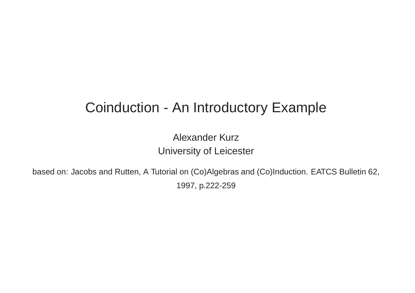## Coinduction - An Introductory Example

Alexander Kurz University of Leicester

based on: Jacobs and Rutten, A Tutorial on (Co)Algebras and (Co)Induction. EATCS Bulletin 62, 1997, p.222-259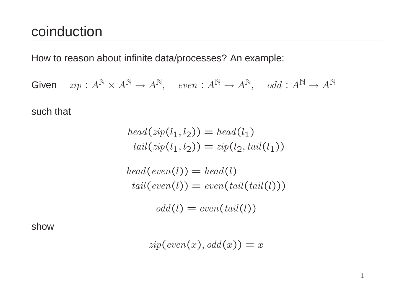# coinduction

How to reason about infinite data/processes? An example:

Given 
$$
zip : A^{\mathbb{N}} \times A^{\mathbb{N}} \to A^{\mathbb{N}}, \quad even : A^{\mathbb{N}} \to A^{\mathbb{N}}, \quad odd : A^{\mathbb{N}} \to A^{\mathbb{N}}
$$

such that

$$
head(zip(l_1, l_2)) = head(l_1)
$$
  

$$
tail(zip(l_1, l_2)) = zip(l_2, tail(l_1))
$$

$$
head(even(l)) = head(l)
$$
  

$$
tail(even(l)) = even(tail(tail(l)))
$$

$$
odd(l) = even(tail(l))
$$

show

$$
zip(\text{even}(x),\text{odd}(x)) = x
$$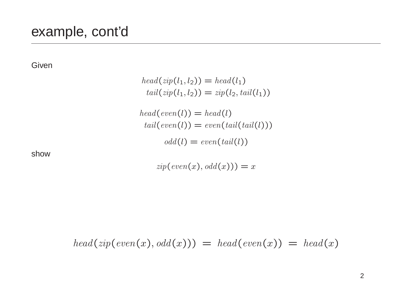### example, cont'd

Given

$$
head(zip(l_1, l_2)) = head(l_1)
$$
  
\n
$$
tail(zip(l_1, l_2)) = zip(l_2, tail(l_1))
$$
  
\n
$$
head(even(l)) = head(l)
$$
  
\n
$$
tail(even(l)) = even(tail(tail(l)))
$$
  
\n
$$
odd(l) = even(tail(l))
$$

show

 $zip(even(x), odd(x))) = x$ 

 $head(zip(even(x), odd(x))) = head(even(x)) = head(x)$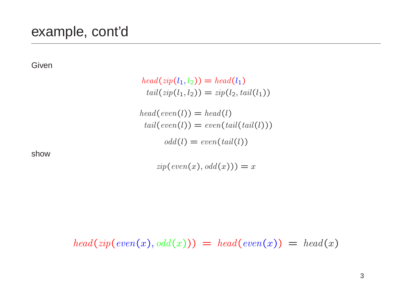### example, cont'd

Given

 $head(zip(l_1, l_2)) = head(l_1)$  $tail(zip(l_1, l_2)) = zip(l_2, tail(l_1))$  $head(even(l)) = head(l)$  $tail(even(l)) = even(tail(tail(l)))$  $odd(l) = even(tail(l))$ 

show

 $zip(even(x), odd(x))) = x$ 

 $head(zip(even(x), odd(x))) = head(even(x)) = head(x)$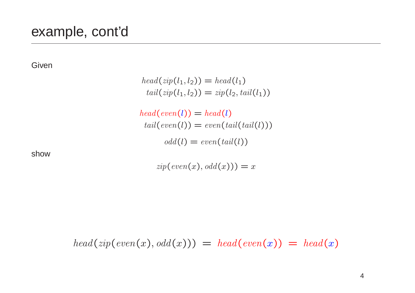### example, cont'd

Given

 $head(zip(l_1, l_2)) = head(l_1)$  $tail(zip(l_1, l_2)) = zip(l_2, tail(l_1))$  $head(even(l)) = head(l)$  $tail(even(l)) = even(tail(tail(l)))$  $odd(l) = even(tail(l))$ 

show

 $zip(even(x), odd(x))) = x$ 

 $head(zip(even(x), odd(x))) = head(even(x)) = head(x)$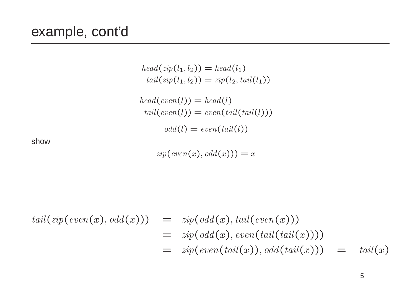$head(zip(l_1, l_2)) = head(l_1)$  $tail(zip(l_1, l_2)) = zip(l_2, tail(l_1))$  $head(even(l)) = head(l)$  $tail(even(l)) = even(tail(tail(l)))$  $odd(l) = even(tail(l))$ 

show

 $zip(even(x), odd(x))) = x$ 

$$
tail(zip(even(x), odd(x))) = zip(odd(x), tail(even(x)))
$$
  
=  $zip(odd(x), even(tail(tail(x))))$   
=  $zip(even(tail(x)), odd(tail(x))) = tail(x)$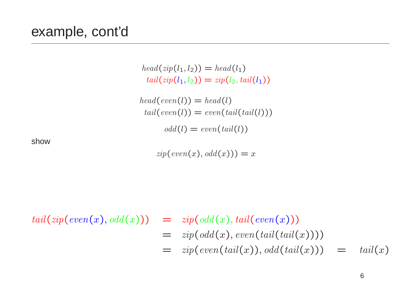$head(zip(l_1, l_2)) = head(l_1)$  $tail(zin(l_1, l_2)) = zip(l_2, tail(l_1))$ 

 $head(even(l)) = head(l)$  $tail(even(l)) = even(tail(tail(l)))$  $odd(l) = even(tail(l))$ 

show

 $zip(even(x), odd(x))) = x$ 

 $tail(zip(even(x), odd(x))) = zip(odd(x), tail(even(x)))$  $=$   $zip(odd(x), even(tail(tail(x))))$  $=$   $zip(even(tail(x)), odd(tail(x))) = tail(x)$ 

6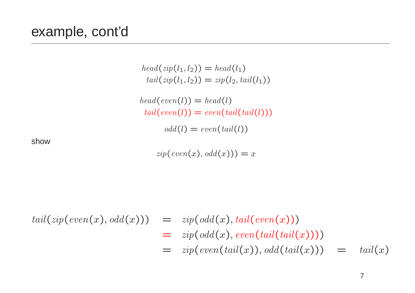$head(zip(l_1, l_2)) = head(l_1)$  $tail(zin(l_1, l_2)) = zip(l_2, tail(l_1))$  $head(even(l)) = head(l)$  $tail(even(l)) = even(tail(tail(l)))$  $odd(l) = even(tail(l))$ 

show

 $zip(even(x), odd(x))) = x$ 

 $tail(zip(even(x), odd(x))) = zip(odd(x), tail(even(x)))$  $=$   $zip(odd(x), even(tail(tail(x))))$  $=$   $zip(even(tail(x)), odd(tail(x))) = tail(x)$ 

7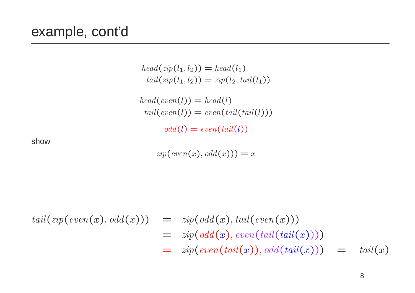$head(zip(l_1, l_2)) = head(l_1)$  $tail(zin(l_1, l_2)) = zip(l_2, tail(l_1))$  $head(even(l)) = head(l)$  $tail(even(l)) = even(tail(tail(l)))$  $odd(l) = even(tail(l))$ 

show

 $zip(even(x), odd(x))) = x$ 

 $tail(zip(even(x), odd(x))) = zip(odd(x), tail(even(x)))$  $=$   $zip(odd(x), even(tail(tail(x))))$  $=$   $zip(even(tail(x)), odd(tail(x))) = tail(x)$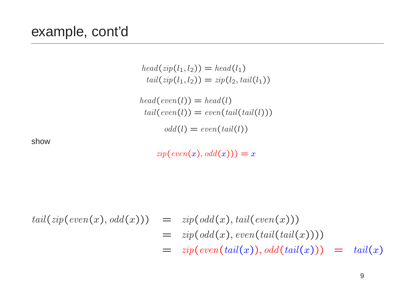$head(zip(l_1, l_2)) = head(l_1)$  $tail(zin(l_1, l_2)) = zip(l_2, tail(l_1))$  $head(even(l)) = head(l)$  $tail(even(l)) = even(tail(tail(l)))$  $odd(l) = even(tail(l))$ 

show

 $zip(even(x), odd(x))) = x$ 

 $tail(zip(even(x), odd(x))) = zip(odd(x), tail(even(x)))$  $=$   $zip(odd(x), even(tail(tail(x))))$  $=$   $zip(even(tail(x)), odd(tail(x))) = tail(x)$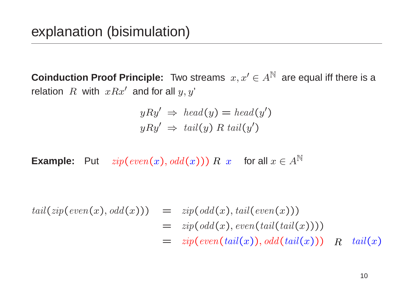**Coinduction Proof Principle:** Two streams  $x, x' \in A^{\mathbb{N}}$  are equal iff there is a relation  $\,R\,$  with  $\,xRx' \,$  and for all  $y,y'$ 

$$
yRy' \Rightarrow head(y) = head(y')
$$
  

$$
yRy' \Rightarrow tail(y) R tail(y')
$$

 $\textsf{\textbf{Example:}}\quad \textsf{Put} \quad zip(\textit{even}(x),\textit{odd}(x))) \; R \; \; x \quad \textsf{for all} \; x \in A^{\mathbb{N}}$ 

 $tail(zip(even(x), odd(x))) = zip(odd(x), tail(even(x)))$  $=$   $zip(odd(x), even(tail(tail(x))))$ 

$$
= \quad zip(\text{even}(\text{tail}(x)),\text{odd}(\text{tail}(x))) \quad R \quad \text{tail}(x)
$$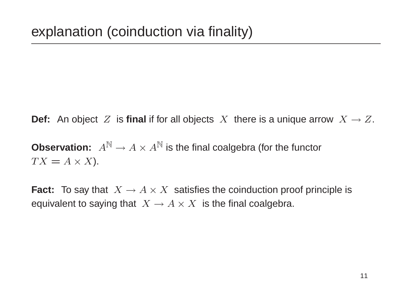**Def:** An object  $Z$  is final if for all objects  $X$  there is a unique arrow  $X \to Z$ .

**Observation:**  $A^{\mathbb{N}} \to A \times A^{\mathbb{N}}$  is the final coalgebra (for the functor  $TX = A \times X$ ).

Fact: To say that  $X \to A \times X$  satisfies the coinduction proof principle is equivalent to saying that  $|X \to A \times X|$  is the final coalgebra.